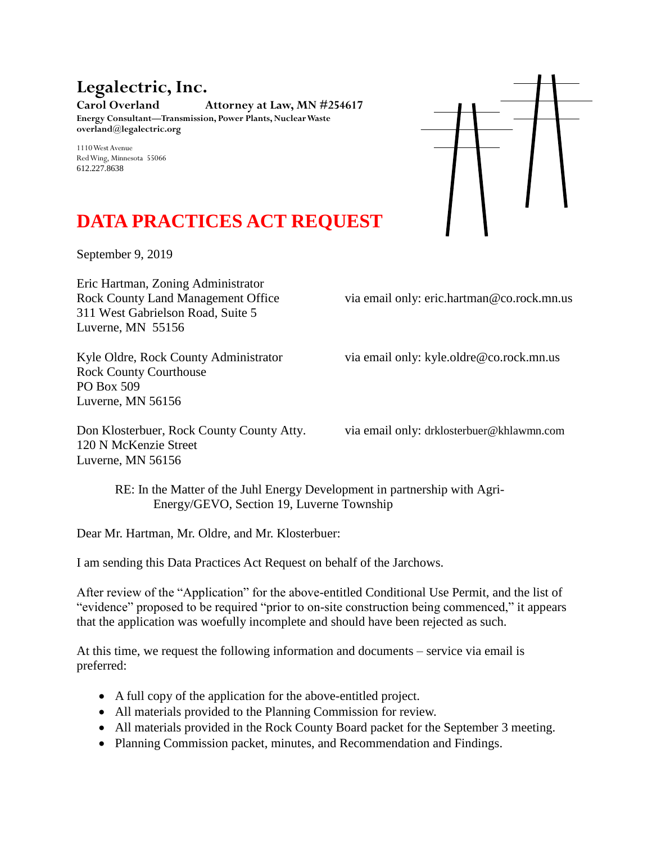## **Legalectric, Inc. Carol Overland Attorney at Law, MN #254617 Energy Consultant—Transmission, Power Plants, Nuclear Waste overland@legalectric.org**

1110 West Avenue Red Wing, Minnesota 55066 612.227.8638



## **DATA PRACTICES ACT REQUEST**

September 9, 2019

Eric Hartman, Zoning Administrator 311 West Gabrielson Road, Suite 5 Luverne, MN 55156

Rock County Land Management Office via email only: eric.hartman@co.rock.mn.us

Kyle Oldre, Rock County Administrator via email only: kyle.oldre@co.rock.mn.us

Rock County Courthouse PO Box 509 Luverne, MN 56156

Don Klosterbuer, Rock County County Atty. via email only: drklosterbuer@khlawmn.com 120 N McKenzie Street Luverne, MN 56156

RE: In the Matter of the Juhl Energy Development in partnership with Agri-Energy/GEVO, Section 19, Luverne Township

Dear Mr. Hartman, Mr. Oldre, and Mr. Klosterbuer:

I am sending this Data Practices Act Request on behalf of the Jarchows.

After review of the "Application" for the above-entitled Conditional Use Permit, and the list of "evidence" proposed to be required "prior to on-site construction being commenced," it appears that the application was woefully incomplete and should have been rejected as such.

At this time, we request the following information and documents – service via email is preferred:

- A full copy of the application for the above-entitled project.
- All materials provided to the Planning Commission for review.
- All materials provided in the Rock County Board packet for the September 3 meeting.
- Planning Commission packet, minutes, and Recommendation and Findings.